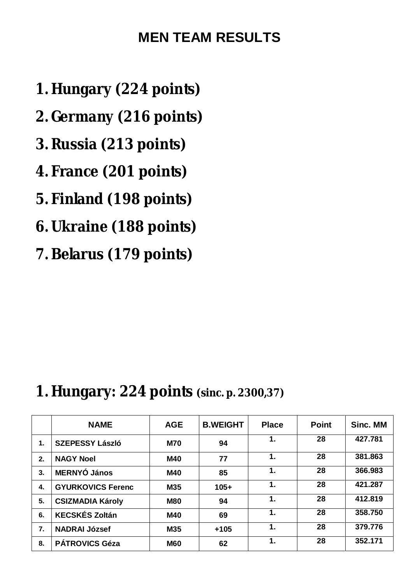### **MEN TEAM RESULTS**

- **1. Hungary (224 points)**
- **2. Germany (216 points)**
- **3. Russia (213 points)**
- **4. France (201 points)**
- **5. Finland (198 points)**
- **6. Ukraine (188 points)**
- **7. Belarus (179 points)**

### **1. Hungary: 224 points (sinc. p. 2300,37)**

|    | <b>NAME</b>              | <b>AGE</b> | <b>B.WEIGHT</b> | <b>Place</b> | <b>Point</b> | Sinc. MM |
|----|--------------------------|------------|-----------------|--------------|--------------|----------|
| 1. | <b>SZEPESSY László</b>   | <b>M70</b> | 94              | 1.           | 28           | 427.781  |
| 2. | <b>NAGY Noel</b>         | M40        | 77              | 1.           | 28           | 381.863  |
| 3. | <b>MERNYÓ János</b>      | M40        | 85              | 1.           | 28           | 366.983  |
| 4. | <b>GYURKOVICS Ferenc</b> | M35        | $105+$          | 1.           | 28           | 421.287  |
| 5. | <b>CSIZMADIA Károly</b>  | <b>M80</b> | 94              | 1.           | 28           | 412.819  |
| 6. | <b>KECSKÉS Zoltán</b>    | M40        | 69              | 1.           | 28           | 358.750  |
| 7. | <b>NADRAI József</b>     | M35        | $+105$          | 1.           | 28           | 379,776  |
| 8. | <b>PÁTROVICS Géza</b>    | <b>M60</b> | 62              | 1.           | 28           | 352.171  |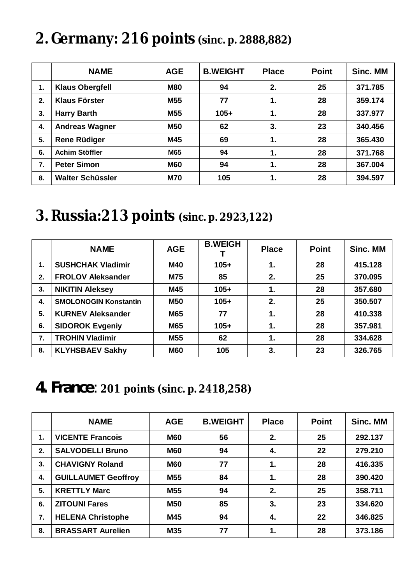# **2. Germany: 216 points (sinc. p. 2888,882)**

|    | <b>NAME</b>             | <b>AGE</b> | <b>B.WEIGHT</b> | <b>Place</b> | <b>Point</b> | Sinc. MM |
|----|-------------------------|------------|-----------------|--------------|--------------|----------|
| 1. | <b>Klaus Obergfell</b>  | <b>M80</b> | 94              | 2.           | 25           | 371.785  |
| 2. | <b>Klaus Förster</b>    | M55        | 77              | 1.           | 28           | 359.174  |
| 3. | <b>Harry Barth</b>      | <b>M55</b> | $105+$          | 1.           | 28           | 337.977  |
| 4. | <b>Andreas Wagner</b>   | <b>M50</b> | 62              | 3.           | 23           | 340.456  |
| 5. | <b>Rene Rüdiger</b>     | M45        | 69              | 1.           | 28           | 365.430  |
| 6. | Achim Stöffler          | M65        | 94              | 1.           | 28           | 371.768  |
| 7. | <b>Peter Simon</b>      | <b>M60</b> | 94              | 1.           | 28           | 367.004  |
| 8. | <b>Walter Schüssler</b> | <b>M70</b> | 105             | 1.           | 28           | 394.597  |

## **3. Russia:213 points (sinc. p. 2923,122)**

|    | <b>NAME</b>                  | <b>AGE</b> | <b>B.WEIGH</b> | <b>Place</b> | <b>Point</b> | Sinc. MM |
|----|------------------------------|------------|----------------|--------------|--------------|----------|
| 1. | <b>SUSHCHAK Vladimir</b>     | <b>M40</b> | $105+$         | 1.           | 28           | 415.128  |
| 2. | <b>FROLOV Aleksander</b>     | <b>M75</b> | 85             | 2.           | 25           | 370.095  |
| 3. | <b>NIKITIN Aleksey</b>       | M45        | $105+$         | 1.           | 28           | 357.680  |
| 4. | <b>SMOLONOGIN Konstantin</b> | <b>M50</b> | $105+$         | 2.           | 25           | 350.507  |
| 5. | <b>KURNEV Aleksander</b>     | <b>M65</b> | 77             | 1.           | 28           | 410.338  |
| 6. | <b>SIDOROK Evgeniy</b>       | <b>M65</b> | $105+$         | 1.           | 28           | 357.981  |
| 7. | <b>TROHIN Vladimir</b>       | M55        | 62             | 1.           | 28           | 334.628  |
| 8. | <b>KLYHSBAEV Sakhy</b>       | <b>M60</b> | 105            | 3.           | 23           | 326.765  |

**4. France**: **201 points (sinc. p. 2418,258)**

|    | <b>NAME</b>                | <b>AGE</b>      | <b>B.WEIGHT</b> | <b>Place</b> | <b>Point</b> | Sinc. MM |
|----|----------------------------|-----------------|-----------------|--------------|--------------|----------|
| 1. | <b>VICENTE Francois</b>    | <b>M60</b>      | 56              | 2.           | 25           | 292.137  |
| 2. | <b>SALVODELLI Bruno</b>    | <b>M60</b>      | 94              | 4.           | 22           | 279.210  |
| 3. | <b>CHAVIGNY Roland</b>     | <b>M60</b>      | 77              | 1.           | 28           | 416.335  |
| 4. | <b>GUILLAUMET Geoffroy</b> | <b>M55</b>      | 84              | 1.           | 28           | 390.420  |
| 5. | <b>KRETTLY Marc</b>        | M <sub>55</sub> | 94              | 2.           | 25           | 358.711  |
| 6. | <b>ZITOUNI Fares</b>       | <b>M50</b>      | 85              | 3.           | 23           | 334.620  |
| 7. | <b>HELENA Christophe</b>   | M45             | 94              | 4.           | 22           | 346.825  |
| 8. | <b>BRASSART Aurelien</b>   | <b>M35</b>      | 77              | 1.           | 28           | 373.186  |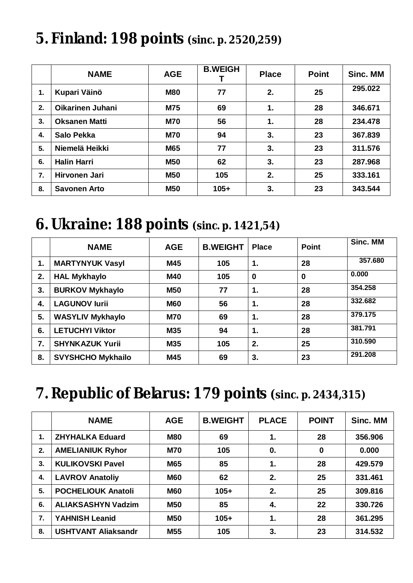# **5. Finland: 198 points (sinc. p. 2520,259)**

|    | <b>NAME</b>             | <b>AGE</b> | <b>B.WEIGH</b> | <b>Place</b>  | <b>Point</b> | Sinc. MM |
|----|-------------------------|------------|----------------|---------------|--------------|----------|
| 1. | Kupari Väinö            | <b>M80</b> | 77             | 2.            | 25           | 295.022  |
| 2. | <b>Oikarinen Juhani</b> | <b>M75</b> | 69             | 1.            | 28           | 346.671  |
| 3. | <b>Oksanen Matti</b>    | <b>M70</b> | 56             | $\mathbf 1$ . | 28           | 234.478  |
| 4. | <b>Salo Pekka</b>       | <b>M70</b> | 94             | 3.            | 23           | 367.839  |
| 5. | Niemelä Heikki          | M65        | 77             | 3.            | 23           | 311.576  |
| 6. | <b>Halin Harri</b>      | <b>M50</b> | 62             | 3.            | 23           | 287.968  |
| 7. | Hirvonen Jari           | <b>M50</b> | 105            | 2.            | 25           | 333.161  |
| 8. | <b>Savonen Arto</b>     | <b>M50</b> | $105+$         | 3.            | 23           | 343.544  |

### **6. Ukraine: 188 points (sinc. p. 1421,54)**

|    | <b>NAME</b>              | <b>AGE</b> | <b>B.WEIGHT</b> | <b>Place</b>     | <b>Point</b> | Sinc. MM |
|----|--------------------------|------------|-----------------|------------------|--------------|----------|
| 1. | <b>MARTYNYUK Vasyl</b>   | M45        | 105             | 1.               | 28           | 357.680  |
| 2. | <b>HAL Mykhaylo</b>      | <b>M40</b> | 105             | $\boldsymbol{0}$ | 0            | 0.000    |
| 3. | <b>BURKOV Mykhaylo</b>   | <b>M50</b> | 77              | 1.               | 28           | 354.258  |
| 4. | <b>LAGUNOV lurii</b>     | <b>M60</b> | 56              | 1.               | 28           | 332.682  |
| 5. | <b>WASYLIV Mykhaylo</b>  | <b>M70</b> | 69              | 1.               | 28           | 379.175  |
| 6. | <b>LETUCHYI Viktor</b>   | M35        | 94              | 1.               | 28           | 381.791  |
| 7. | <b>SHYNKAZUK Yurii</b>   | M35        | 105             | 2.               | 25           | 310.590  |
| 8. | <b>SVYSHCHO Mykhailo</b> | M45        | 69              | 3.               | 23           | 291.208  |

## **7. Republic of Belarus: 179 points (sinc. p. 2434,315)**

|    | <b>NAME</b>                | <b>AGE</b> | <b>B.WEIGHT</b> | <b>PLACE</b> | <b>POINT</b> | Sinc. MM |
|----|----------------------------|------------|-----------------|--------------|--------------|----------|
| 1. | <b>ZHYHALKA Eduard</b>     | <b>M80</b> | 69              | 1.           | 28           | 356.906  |
| 2. | <b>AMELIANIUK Ryhor</b>    | <b>M70</b> | 105             | $\mathbf{0}$ | $\mathbf 0$  | 0.000    |
| 3. | <b>KULIKOVSKI Pavel</b>    | <b>M65</b> | 85              | 1.           | 28           | 429.579  |
| 4. | <b>LAVROV Anatoliy</b>     | <b>M60</b> | 62              | 2.           | 25           | 331.461  |
| 5. | <b>POCHELIOUK Anatoli</b>  | <b>M60</b> | $105+$          | 2.           | 25           | 309.816  |
| 6. | <b>ALIAKSASHYN Vadzim</b>  | <b>M50</b> | 85              | 4.           | 22           | 330.726  |
| 7. | <b>YAHNISH Leanid</b>      | <b>M50</b> | $105+$          | 1.           | 28           | 361.295  |
| 8. | <b>USHTVANT Aliaksandr</b> | M55        | 105             | 3.           | 23           | 314.532  |